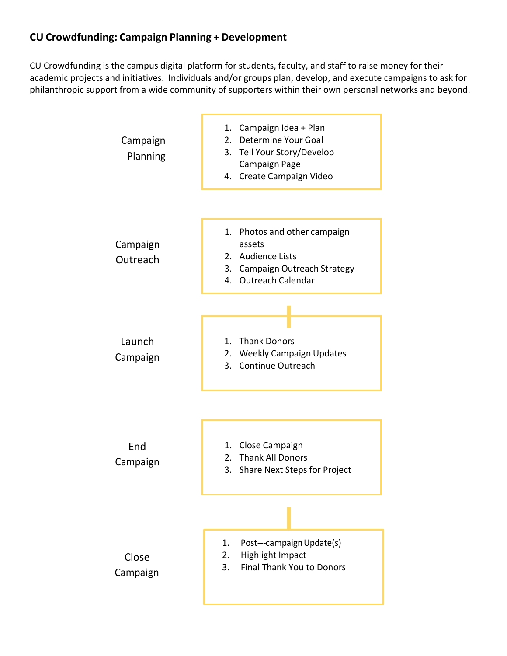CU Crowdfunding is the campus digital platform for students, faculty, and staff to raise money for their academic projects and initiatives. Individuals and/or groups plan, develop, and execute campaigns to ask for philanthropic support from a wide community of supporters within their own personal networks and beyond.

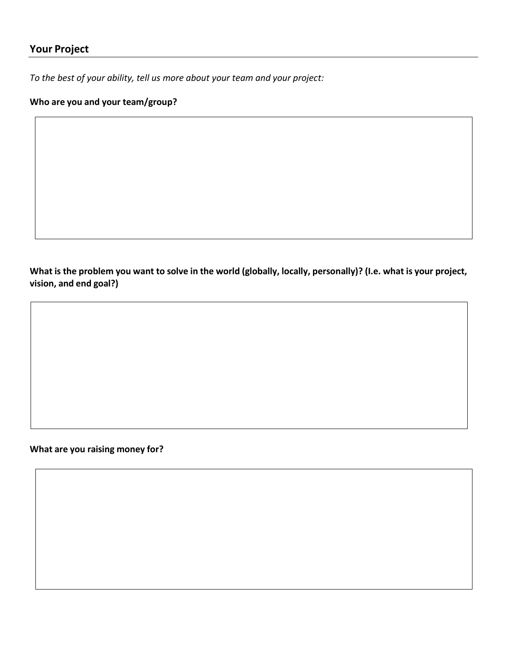#### **Your Project**

*To the best of your ability, tell us more about your team and your project:*

#### **Who are you and your team/group?**

What is the problem you want to solve in the world (globally, locally, personally)? (I.e. what is your project, **vision, and end goal?)**

**What are you raising money for?**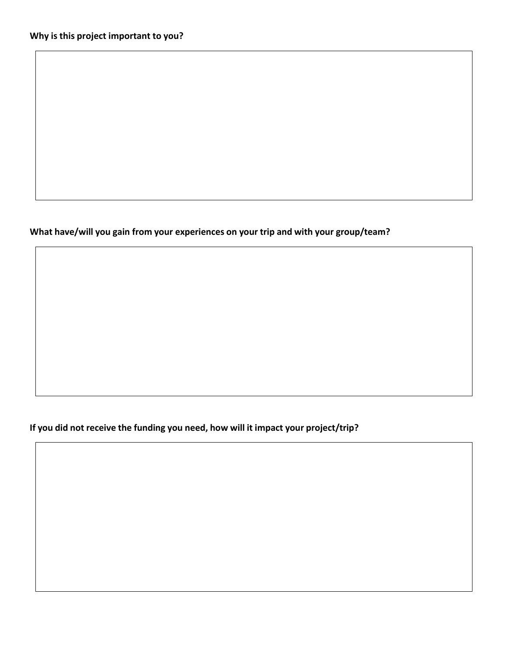#### **What have/will you gain from your experiences on your trip and with your group/team?**

**If you did not receive the funding you need, how will it impact your project/trip?**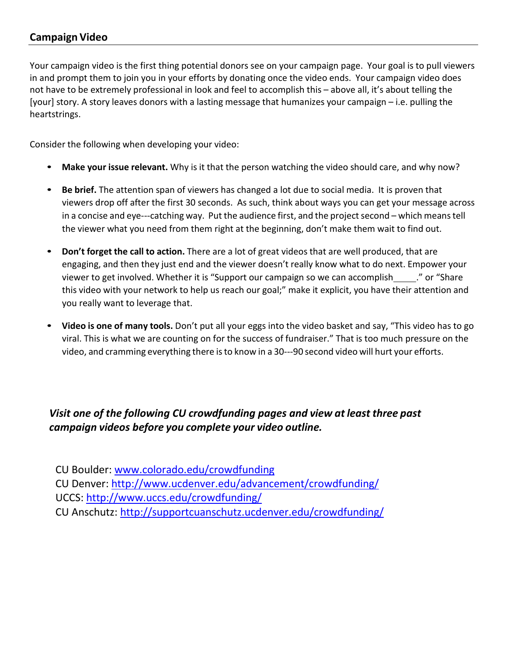## **Campaign Video**

Your campaign video is the first thing potential donors see on your campaign page. Your goal is to pull viewers in and prompt them to join you in your efforts by donating once the video ends. Your campaign video does not have to be extremely professional in look and feel to accomplish this – above all, it's about telling the [your] story. A story leaves donors with a lasting message that humanizes your campaign – i.e. pulling the heartstrings.

Consider the following when developing your video:

- **Make your issue relevant.** Why is it that the person watching the video should care, and why now?
- **Be brief.** The attention span of viewers has changed a lot due to social media. It is proven that viewers drop off after the first 30 seconds. As such, think about ways you can get your message across in a concise and eye---catching way. Put the audience first, and the project second – which means tell the viewer what you need from them right at the beginning, don't make them wait to find out.
- **Don't forget the call to action.** There are a lot of great videos that are well produced, that are engaging, and then they just end and the viewer doesn't really know what to do next. Empower your viewer to get involved. Whether it is "Support our campaign so we can accomplish ... " or "Share this video with your network to help us reach our goal;" make it explicit, you have their attention and you really want to leverage that.
- **Video is one of many tools.** Don't put all your eggs into the video basket and say, "This video has to go viral. This is what we are counting on for the success of fundraiser." That is too much pressure on the video, and cramming everything there isto know in a 30---90 second video will hurt your efforts.

# *Visit [one](http://www.colorado.edu/crowdfunding) of the following CU crowdfunding pages and view at least three past campaign videos before you complete your video outline.*

CU Boulder: [www.colorado.edu/crowdfunding](http://www.colorado.edu/crowdfunding)

CU Denver:<http://www.ucdenver.edu/advancement/crowdfunding/>

UCCS:<http://www.uccs.edu/crowdfunding/>

CU Anschutz:<http://supportcuanschutz.ucdenver.edu/crowdfunding/>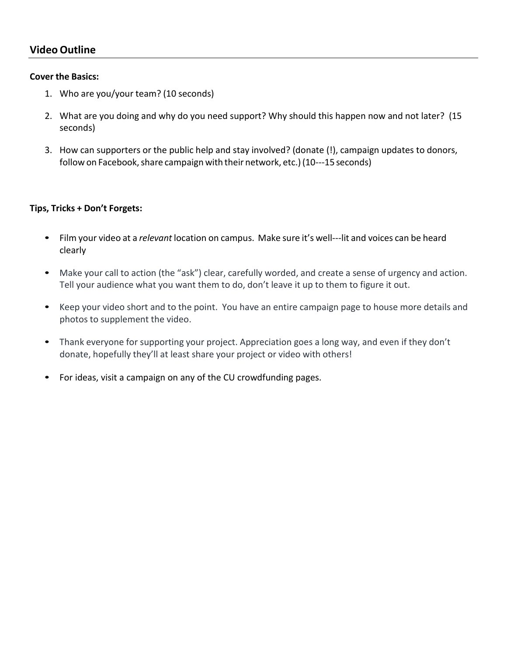#### **Cover the Basics:**

- 1. Who are you/your team? (10 seconds)
- 2. What are you doing and why do you need support? Why should this happen now and not later? (15 seconds)
- 3. How can supporters or the public help and stay involved? (donate (!), campaign updates to donors, follow on Facebook, share campaign with their network, etc.) (10---15 seconds)

#### **Tips, Tricks + Don't Forgets:**

- Film your video at a *relevant* location on campus. Make sure it's well---lit and voices can be heard clearly
- Make your call to action (the "ask") clear, carefully worded, and create a sense of urgency and action. Tell your audience what you want them to do, don't leave it up to them to figure it out.
- Keep your video short and to the point. You have an entire campaign page to house more details and photos to supplement the video.
- Thank everyone for supporting your project. Appreciation goes a long way, and even if they don't donate, hopefully they'll at least share your project or video with others!
- For ideas, visit a campaign on any of the CU crowdfunding pages.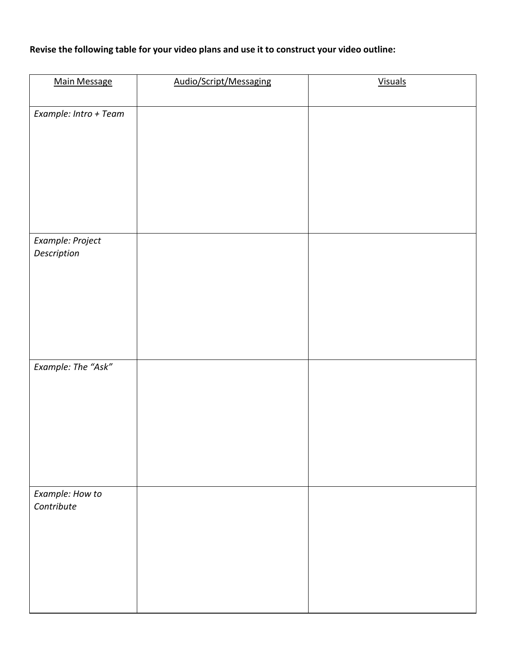#### **Revise the following table for your video plans and use it to construct your video outline:**

| <b>Main Message</b>             | Audio/Script/Messaging | <b>Visuals</b> |
|---------------------------------|------------------------|----------------|
| Example: Intro + Team           |                        |                |
| Example: Project<br>Description |                        |                |
| Example: The "Ask"              |                        |                |
| Example: How to<br>Contribute   |                        |                |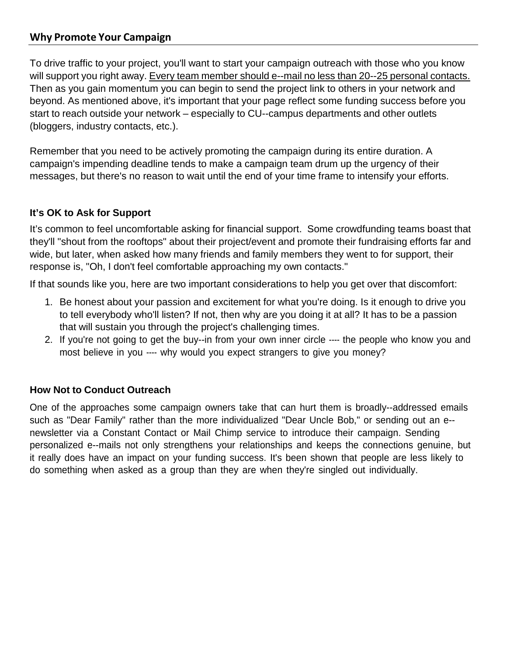#### **Why Promote Your Campaign**

To drive traffic to your project, you'll want to start your campaign outreach with those who you know will support you right away. Every team member should e--mail no less than 20--25 personal contacts. Then as you gain momentum you can begin to send the project link to others in your network and beyond. As mentioned above, it's important that your page reflect some funding success before you start to reach outside your network – especially to CU--campus departments and other outlets (bloggers, industry contacts, etc.).

Remember that you need to be actively promoting the campaign during its entire duration. A campaign's impending deadline tends to make a campaign team drum up the urgency of their messages, but there's no reason to wait until the end of your time frame to intensify your efforts.

#### **It's OK to Ask for Support**

It's common to feel uncomfortable asking for financial support. Some crowdfunding teams boast that they'll "shout from the rooftops" about their project/event and promote their fundraising efforts far and wide, but later, when asked how many friends and family members they went to for support, their response is, "Oh, I don't feel comfortable approaching my own contacts."

If that sounds like you, here are two important considerations to help you get over that discomfort:

- 1. Be honest about your passion and excitement for what you're doing. Is it enough to drive you to tell everybody who'll listen? If not, then why are you doing it at all? It has to be a passion that will sustain you through the project's challenging times.
- 2. If you're not going to get the buy--in from your own inner circle ---- the people who know you and most believe in you ---- why would you expect strangers to give you money?

#### **How Not to Conduct Outreach**

One of the approaches some campaign owners take that can hurt them is broadly--addressed emails such as "Dear Family" rather than the more individualized "Dear Uncle Bob," or sending out an e- newsletter via a Constant Contact or Mail Chimp service to introduce their campaign. Sending personalized e--mails not only strengthens your relationships and keeps the connections genuine, but it really does have an impact on your funding success. It's been shown that people are less likely to do something when asked as a group than they are when they're singled out individually.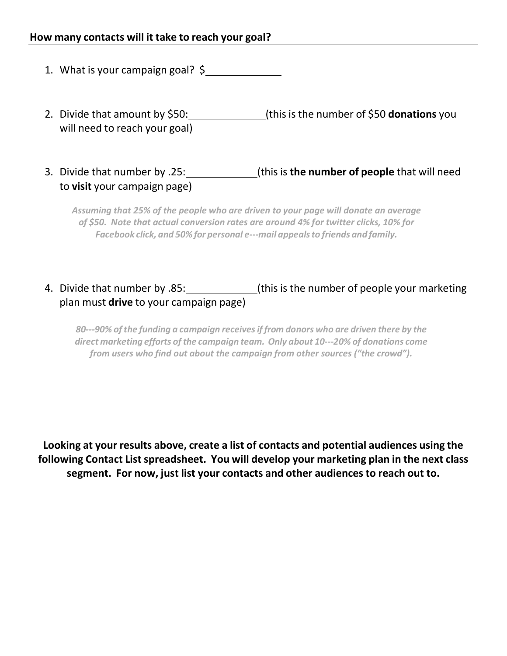- 1. What is your campaign goal? \$
- 2. Divide that amount by \$50: (this is the number of \$50 **donations** you will need to reach your goal)
- 3. Divide that number by .25: (this is **the number of people** that will need to **visit** your campaign page)

*Assuming that 25% of the people who are driven to your page will donate an average of \$50. Note that actual conversion rates are around 4% for twitter clicks, 10% for Facebook click, and 50% for personal e---mail appealsto friends and family.*

# 4. Divide that number by .85: \_\_\_\_\_\_\_\_\_\_\_\_(this is the number of people your marketing plan must **drive** to your campaign page)

*80---90% of the funding a campaign receivesif from donors who are driven there by the direct marketing efforts of the campaign team. Only about 10---20% of donations come from users who find out about the campaign from other sources ("the crowd").*

**Looking at your results above, create a list of contacts and potential audiences using the following Contact List spreadsheet. You will develop your marketing plan in the next class segment. For now, just list your contacts and other audiences to reach out to.**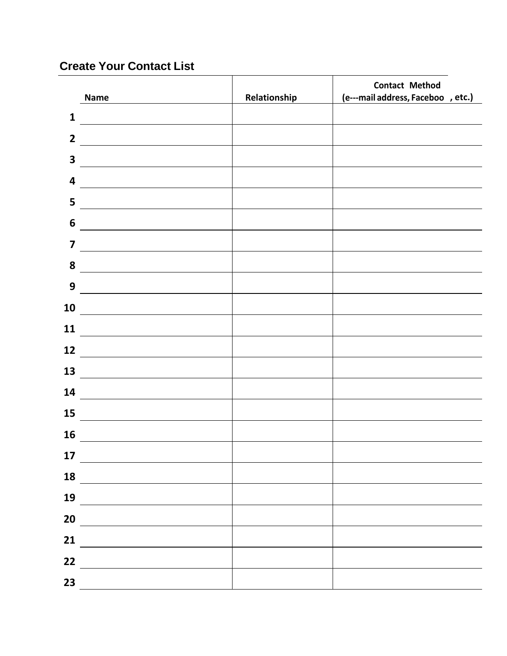# **Create Your Contact List**

|                         |                                                   |              | <b>Contact Method</b>              |
|-------------------------|---------------------------------------------------|--------------|------------------------------------|
|                         | <b>Name</b>                                       | Relationship | (e---mail address, Faceboo , etc.) |
| $\mathbf{1}$            |                                                   |              |                                    |
| $\overline{2}$          |                                                   |              |                                    |
| $\overline{\mathbf{3}}$ |                                                   |              |                                    |
| $\overline{\mathbf{4}}$ |                                                   |              |                                    |
| 5                       |                                                   |              |                                    |
| $\boldsymbol{6}$        |                                                   |              |                                    |
| $\overline{\mathbf{z}}$ |                                                   |              |                                    |
| 8                       |                                                   |              |                                    |
| 9                       |                                                   |              |                                    |
| 10                      |                                                   |              |                                    |
| 11                      |                                                   |              |                                    |
| 12                      |                                                   |              |                                    |
| 13                      |                                                   |              |                                    |
| 14                      | <u> 1980 - Johann Barbara, martxa alemaniar a</u> |              |                                    |
| 15                      |                                                   |              |                                    |
| 16                      |                                                   |              |                                    |
| 17                      |                                                   |              |                                    |
| 18                      |                                                   |              |                                    |
| 19                      |                                                   |              |                                    |
| 20                      |                                                   |              |                                    |
| 21                      |                                                   |              |                                    |
| 22                      |                                                   |              |                                    |
| 23                      |                                                   |              |                                    |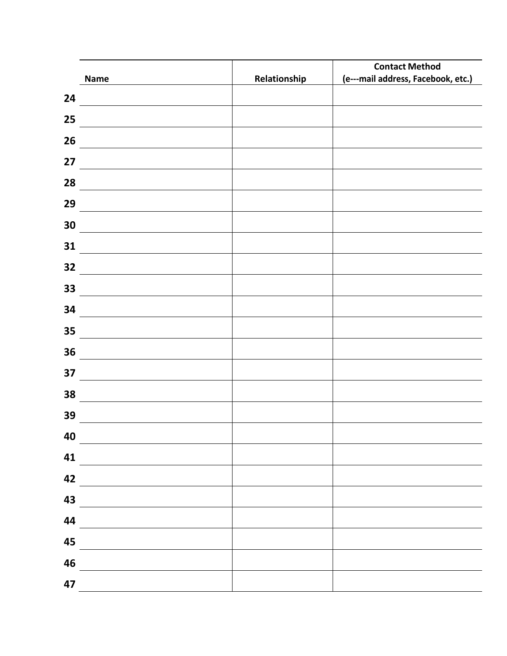|    |                                                                                                                      |              | <b>Contact Method</b>              |
|----|----------------------------------------------------------------------------------------------------------------------|--------------|------------------------------------|
|    | Name                                                                                                                 | Relationship | (e---mail address, Facebook, etc.) |
| 24 |                                                                                                                      |              |                                    |
| 25 |                                                                                                                      |              |                                    |
| 26 |                                                                                                                      |              |                                    |
| 27 |                                                                                                                      |              |                                    |
| 28 |                                                                                                                      |              |                                    |
| 29 |                                                                                                                      |              |                                    |
| 30 |                                                                                                                      |              |                                    |
| 31 |                                                                                                                      |              |                                    |
| 32 |                                                                                                                      |              |                                    |
| 33 |                                                                                                                      |              |                                    |
| 34 |                                                                                                                      |              |                                    |
| 35 |                                                                                                                      |              |                                    |
| 36 | <u> 1989 - Johann Stoff, deutscher Stoffen und der Stoffen und der Stoffen und der Stoffen und der Stoffen und d</u> |              |                                    |
| 37 |                                                                                                                      |              |                                    |
| 38 | the company of the company of the company of                                                                         |              |                                    |
| 39 |                                                                                                                      |              |                                    |
| 40 |                                                                                                                      |              |                                    |
| 41 |                                                                                                                      |              |                                    |
| 42 |                                                                                                                      |              |                                    |
| 43 |                                                                                                                      |              |                                    |
| 44 |                                                                                                                      |              |                                    |
| 45 |                                                                                                                      |              |                                    |
| 46 |                                                                                                                      |              |                                    |
| 47 |                                                                                                                      |              |                                    |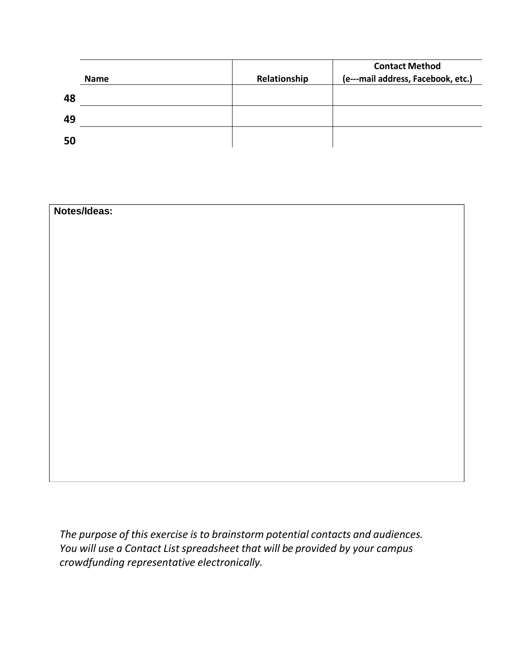|    | <b>Name</b> | Relationship | <b>Contact Method</b><br>(e---mail address, Facebook, etc.) |
|----|-------------|--------------|-------------------------------------------------------------|
| 48 |             |              |                                                             |
| 49 |             |              |                                                             |
| 50 |             |              |                                                             |

| Notes/Ideas: |  |
|--------------|--|
|              |  |
|              |  |
|              |  |
|              |  |
|              |  |
|              |  |
|              |  |
|              |  |
|              |  |
|              |  |
|              |  |
|              |  |
|              |  |
|              |  |
|              |  |

*The purpose of this exercise is to brainstorm potential contacts and audiences. You will use a Contact List spreadsheet that will be provided by your campus crowdfunding representative electronically.*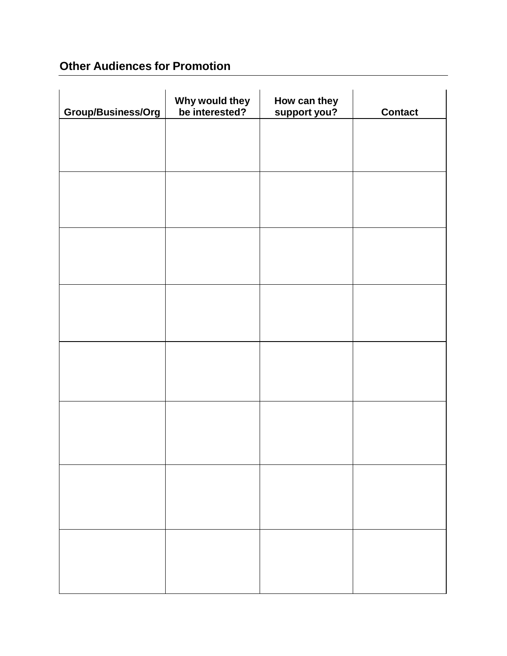# **Other Audiences for Promotion**

| Group/Business/Org | Why would they<br>be interested? | How can they<br>support you? | <b>Contact</b> |
|--------------------|----------------------------------|------------------------------|----------------|
|                    |                                  |                              |                |
|                    |                                  |                              |                |
|                    |                                  |                              |                |
|                    |                                  |                              |                |
|                    |                                  |                              |                |
|                    |                                  |                              |                |
|                    |                                  |                              |                |
|                    |                                  |                              |                |
|                    |                                  |                              |                |
|                    |                                  |                              |                |
|                    |                                  |                              |                |
|                    |                                  |                              |                |
|                    |                                  |                              |                |
|                    |                                  |                              |                |
|                    |                                  |                              |                |
|                    |                                  |                              |                |
|                    |                                  |                              |                |